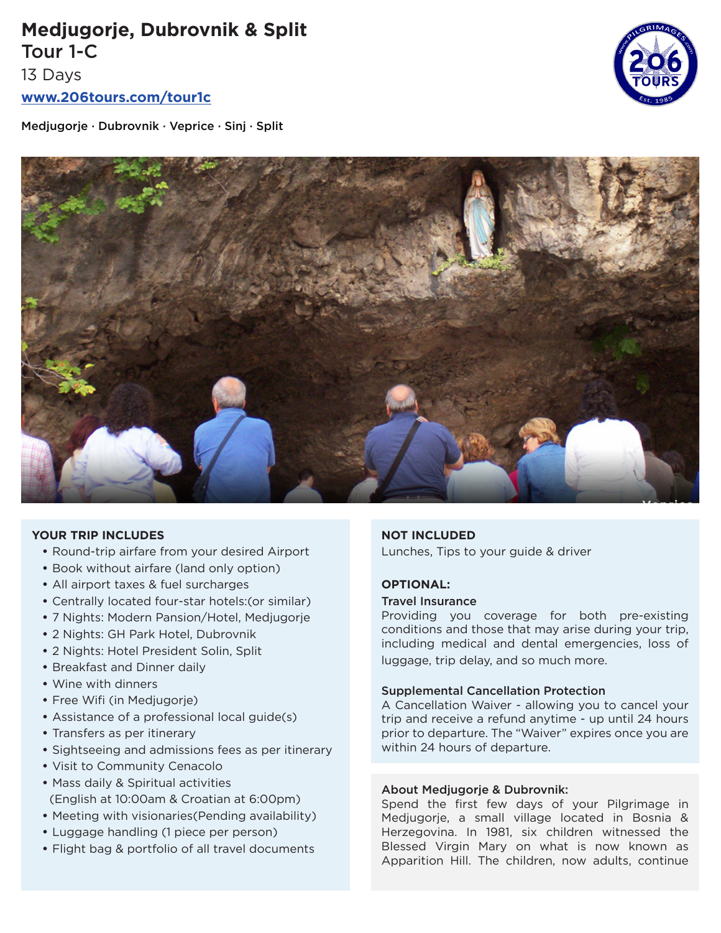# **Medjugorje, Dubrovnik & Split** Tour 1-C

13 Days

**www.206tours.com/tour1c**

Medjugorje · Dubrovnik · Veprice · Sinj · Split





### **YOUR TRIP INCLUDES**

- Round-trip airfare from your desired Airport
- Book without airfare (land only option)
- All airport taxes & fuel surcharges
- Centrally located four-star hotels:(or similar)
- 7 Nights: Modern Pansion/Hotel, Medjugorje
- 2 Nights: GH Park Hotel, Dubrovnik
- 2 Nights: Hotel President Solin, Split
- Breakfast and Dinner daily
- Wine with dinners
- Free Wifi (in Medjugorje)
- Assistance of a professional local guide(s)
- Transfers as per itinerary
- Sightseeing and admissions fees as per itinerary
- Visit to Community Cenacolo
- Mass daily & Spiritual activities (English at 10:00am & Croatian at 6:00pm)
- Meeting with visionaries(Pending availability)
- Luggage handling (1 piece per person)
- Flight bag & portfolio of all travel documents

### **NOT INCLUDED**

Lunches, Tips to your guide & driver

# **OPTIONAL:**

### Travel Insurance

Providing you coverage for both pre-existing conditions and those that may arise during your trip, including medical and dental emergencies, loss of luggage, trip delay, and so much more.

### Supplemental Cancellation Protection

A Cancellation Waiver - allowing you to cancel your trip and receive a refund anytime - up until 24 hours prior to departure. The "Waiver" expires once you are within 24 hours of departure.

# About Medjugorje & Dubrovnik:

Spend the first few days of your Pilgrimage in Medjugorje, a small village located in Bosnia & Herzegovina. In 1981, six children witnessed the Blessed Virgin Mary on what is now known as Apparition Hill. The children, now adults, continue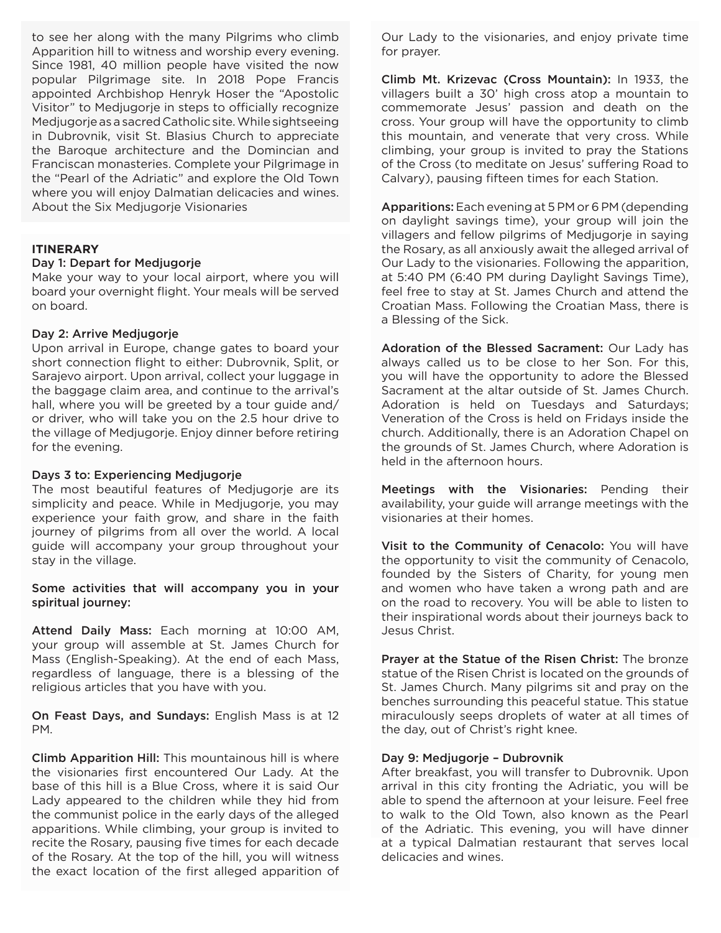to see her along with the many Pilgrims who climb Apparition hill to witness and worship every evening. Since 1981, 40 million people have visited the now popular Pilgrimage site. In 2018 Pope Francis appointed Archbishop Henryk Hoser the "Apostolic Visitor" to Medjugorje in steps to officially recognize Medjugorje as a sacred Catholic site. While sightseeing in Dubrovnik, visit St. Blasius Church to appreciate the Baroque architecture and the Domincian and Franciscan monasteries. Complete your Pilgrimage in the "Pearl of the Adriatic" and explore the Old Town where you will enjoy Dalmatian delicacies and wines. About the Six Medjugorje Visionaries

### **ITINERARY**

#### Day 1: Depart for Medjugorje

Make your way to your local airport, where you will board your overnight flight. Your meals will be served on board.

#### Day 2: Arrive Medjugorje

Upon arrival in Europe, change gates to board your short connection flight to either: Dubrovnik, Split, or Sarajevo airport. Upon arrival, collect your luggage in the baggage claim area, and continue to the arrival's hall, where you will be greeted by a tour guide and/ or driver, who will take you on the 2.5 hour drive to the village of Medjugorje. Enjoy dinner before retiring for the evening.

#### Days 3 to: Experiencing Medjugorje

The most beautiful features of Medjugorje are its simplicity and peace. While in Medjugorje, you may experience your faith grow, and share in the faith journey of pilgrims from all over the world. A local guide will accompany your group throughout your stay in the village.

Some activities that will accompany you in your spiritual journey:

Attend Daily Mass: Each morning at 10:00 AM, your group will assemble at St. James Church for Mass (English-Speaking). At the end of each Mass, regardless of language, there is a blessing of the religious articles that you have with you.

On Feast Days, and Sundays: English Mass is at 12 PM.

Climb Apparition Hill: This mountainous hill is where the visionaries first encountered Our Lady. At the base of this hill is a Blue Cross, where it is said Our Lady appeared to the children while they hid from the communist police in the early days of the alleged apparitions. While climbing, your group is invited to recite the Rosary, pausing five times for each decade of the Rosary. At the top of the hill, you will witness the exact location of the first alleged apparition of

Our Lady to the visionaries, and enjoy private time for prayer.

Climb Mt. Krizevac (Cross Mountain): In 1933, the villagers built a 30' high cross atop a mountain to commemorate Jesus' passion and death on the cross. Your group will have the opportunity to climb this mountain, and venerate that very cross. While climbing, your group is invited to pray the Stations of the Cross (to meditate on Jesus' suffering Road to Calvary), pausing fifteen times for each Station.

Apparitions: Each evening at 5 PM or 6 PM (depending on daylight savings time), your group will join the villagers and fellow pilgrims of Medjugorje in saying the Rosary, as all anxiously await the alleged arrival of Our Lady to the visionaries. Following the apparition, at 5:40 PM (6:40 PM during Daylight Savings Time), feel free to stay at St. James Church and attend the Croatian Mass. Following the Croatian Mass, there is a Blessing of the Sick.

Adoration of the Blessed Sacrament: Our Lady has always called us to be close to her Son. For this, you will have the opportunity to adore the Blessed Sacrament at the altar outside of St. James Church. Adoration is held on Tuesdays and Saturdays; Veneration of the Cross is held on Fridays inside the church. Additionally, there is an Adoration Chapel on the grounds of St. James Church, where Adoration is held in the afternoon hours.

Meetings with the Visionaries: Pending their availability, your guide will arrange meetings with the visionaries at their homes.

Visit to the Community of Cenacolo: You will have the opportunity to visit the community of Cenacolo, founded by the Sisters of Charity, for young men and women who have taken a wrong path and are on the road to recovery. You will be able to listen to their inspirational words about their journeys back to Jesus Christ.

Prayer at the Statue of the Risen Christ: The bronze statue of the Risen Christ is located on the grounds of St. James Church. Many pilgrims sit and pray on the benches surrounding this peaceful statue. This statue miraculously seeps droplets of water at all times of the day, out of Christ's right knee.

### Day 9: Medjugorje – Dubrovnik

After breakfast, you will transfer to Dubrovnik. Upon arrival in this city fronting the Adriatic, you will be able to spend the afternoon at your leisure. Feel free to walk to the Old Town, also known as the Pearl of the Adriatic. This evening, you will have dinner at a typical Dalmatian restaurant that serves local delicacies and wines.